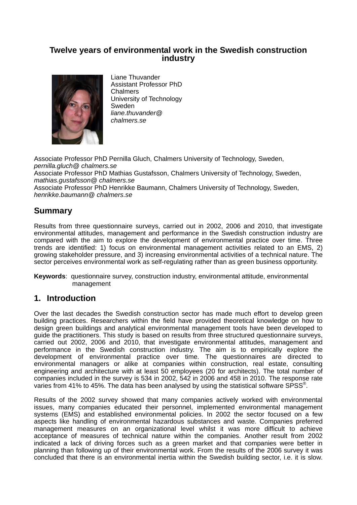### **Twelve years of environmental work in the Swedish construction industry**



Liane Thuvander Assistant Professor PhD Chalmers University of Technology Sweden *liane.thuvander@ chalmers.se*

Associate Professor PhD Pernilla Gluch, Chalmers University of Technology, Sweden, *pernilla.gluch@ chalmers.se* Associate Professor PhD Mathias Gustafsson, Chalmers University of Technology, Sweden, *mathias.gustafsson@ chalmers.se* Associate Professor PhD Henrikke Baumann, Chalmers University of Technology, Sweden, *henrikke.baumann@ chalmers.se*

## **Summary**

Results from three questionnaire surveys, carried out in 2002, 2006 and 2010, that investigate environmental attitudes, management and performance in the Swedish construction industry are compared with the aim to explore the development of environmental practice over time. Three trends are identified: 1) focus on environmental management activities related to an EMS, 2) growing stakeholder pressure, and 3) increasing environmental activities of a technical nature. The sector perceives environmental work as self-regulating rather than as green business opportunity.

**Keywords**: questionnaire survey, construction industry, environmental attitude, environmental management

## **1. Introduction**

Over the last decades the Swedish construction sector has made much effort to develop green building practices. Researchers within the field have provided theoretical knowledge on how to design green buildings and analytical environmental management tools have been developed to guide the practitioners. This study is based on results from three structured questionnaire surveys, carried out 2002, 2006 and 2010, that investigate environmental attitudes, management and performance in the Swedish construction industry. The aim is to empirically explore the development of environmental practice over time. The questionnaires are directed to environmental managers or alike at companies within construction, real estate, consulting engineering and architecture with at least 50 employees (20 for architects). The total number of companies included in the survey is 534 in 2002, 542 in 2006 and 458 in 2010. The response rate varies from 41% to 45%. The data has been analysed by using the statistical software SPSS®.

Results of the 2002 survey showed that many companies actively worked with environmental issues, many companies educated their personnel, implemented environmental management systems (EMS) and established environmental policies. In 2002 the sector focused on a few aspects like handling of environmental hazardous substances and waste. Companies preferred management measures on an organizational level whilst it was more difficult to achieve acceptance of measures of technical nature within the companies. Another result from 2002 indicated a lack of driving forces such as a green market and that companies were better in planning than following up of their environmental work. From the results of the 2006 survey it was concluded that there is an environmental inertia within the Swedish building sector, i.e. it is slow.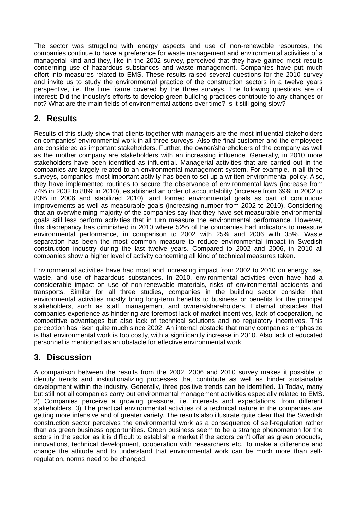The sector was struggling with energy aspects and use of non-renewable resources, the companies continue to have a preference for waste management and environmental activities of a managerial kind and they, like in the 2002 survey, perceived that they have gained most results concerning use of hazardous substances and waste management. Companies have put much effort into measures related to EMS. These results raised several questions for the 2010 survey and invite us to study the environmental practice of the construction sectors in a twelve years perspective, i.e. the time frame covered by the three surveys. The following questions are of interest: Did the industry's efforts to develop green building practices contribute to any changes or not? What are the main fields of environmental actions over time? Is it still going slow?

# **2. Results**

Results of this study show that clients together with managers are the most influential stakeholders on companies' environmental work in all three surveys. Also the final customer and the employees are considered as important stakeholders. Further, the owner/shareholders of the company as well as the mother company are stakeholders with an increasing influence. Generally, in 2010 more stakeholders have been identified as influential. Managerial activities that are carried out in the companies are largely related to an environmental management system. For example, in all three surveys, companies' most important activity has been to set up a written environmental policy. Also, they have implemented routines to secure the observance of environmental laws (increase from 74% in 2002 to 88% in 2010), established an order of accountability (increase from 69% in 2002 to 83% in 2006 and stabilized 2010), and formed environmental goals as part of continuous improvements as well as measurable goals (increasing number from 2002 to 2010). Considering that an overwhelming majority of the companies say that they have set measurable environmental goals still less perform activities that in turn measure the environmental performance. However, this discrepancy has diminished in 2010 where 52% of the companies had indicators to measure environmental performance, in comparison to 2002 with 25% and 2006 with 35%. Waste separation has been the most common measure to reduce environmental impact in Swedish construction industry during the last twelve years. Compared to 2002 and 2006, in 2010 all companies show a higher level of activity concerning all kind of technical measures taken.

Environmental activities have had most and increasing impact from 2002 to 2010 on energy use, waste, and use of hazardous substances. In 2010, environmental activities even have had a considerable impact on use of non-renewable materials, risks of environmental accidents and transports. Similar for all three studies, companies in the building sector consider that environmental activities mostly bring long-term benefits to business or benefits for the principal stakeholders, such as staff, management and owners/shareholders. External obstacles that companies experience as hindering are foremost lack of market incentives, lack of cooperation, no competitive advantages but also lack of technical solutions and no regulatory incentives. This perception has risen quite much since 2002. An internal obstacle that many companies emphasize is that environmental work is too costly, with a significantly increase in 2010. Also lack of educated personnel is mentioned as an obstacle for effective environmental work.

## **3. Discussion**

A comparison between the results from the 2002, 2006 and 2010 survey makes it possible to identify trends and institutionalizing processes that contribute as well as hinder sustainable development within the industry. Generally, three positive trends can be identified. 1) Today, many but still not all companies carry out environmental management activities especially related to EMS. 2) Companies perceive a growing pressure, i.e. interests and expectations, from different stakeholders. 3) The practical environmental activities of a technical nature in the companies are getting more intensive and of greater variety. The results also illustrate quite clear that the Swedish construction sector perceives the environmental work as a consequence of self-regulation rather than as green business opportunities. Green business seem to be a strange phenomenon for the actors in the sector as it is difficult to establish a market if the actors can't offer as green products, innovations, technical development, cooperation with researchers etc. To make a difference and change the attitude and to understand that environmental work can be much more than selfregulation, norms need to be changed.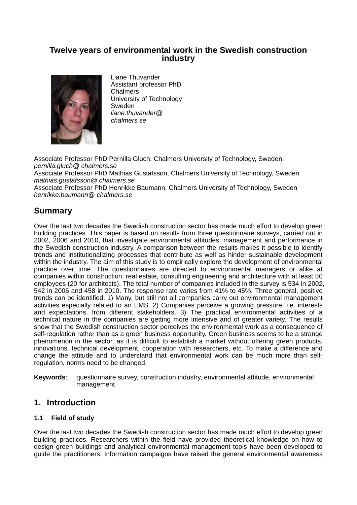### **Twelve years of environmental work in the Swedish construction industry**



Liane Thuvander Assistant professor PhD Chalmers University of Technology Sweden *liane.thuvander@ chalmers.se*

Associate Professor PhD Pernilla Gluch, Chalmers University of Technology, Sweden, *pernilla.gluch@ chalmers.se*

Associate Professor PhD Mathias Gustafsson, Chalmers University of Technology, Sweden *mathias.gustafsson@ chalmers.se*

Associate Professor PhD Henrikke Baumann, Chalmers University of Technology, Sweden *henrikke.baumann@ chalmers.se*

# **Summary**

Over the last two decades the Swedish construction sector has made much effort to develop green building practices. This paper is based on results from three questionnaire surveys, carried out in 2002, 2006 and 2010, that investigate environmental attitudes, management and performance in the Swedish construction industry. A comparison between the results makes it possible to identify trends and institutionalizing processes that contribute as well as hinder sustainable development within the industry. The aim of this study is to empirically explore the development of environmental practice over time. The questionnaires are directed to environmental managers or alike at companies within construction, real estate, consulting engineering and architecture with at least 50 employees (20 for architects). The total number of companies included in the survey is 534 in 2002, 542 in 2006 and 458 in 2010. The response rate varies from 41% to 45%. Three general, positive trends can be identified. 1) Many, but still not all companies carry out environmental management activities especially related to an EMS. 2) Companies perceive a growing pressure, i.e. interests and expectations, from different stakeholders. 3) The practical environmental activities of a technical nature in the companies are getting more intensive and of greater variety. The results show that the Swedish construction sector perceives the environmental work as a consequence of self-regulation rather than as a green business opportunity. Green business seems to be a strange phenomenon in the sector, as it is difficult to establish a market without offering green products, innovations, technical development, cooperation with researchers, etc. To make a difference and change the attitude and to understand that environmental work can be much more than selfregulation, norms need to be changed.

**Keywords**: questionnaire survey, construction industry, environmental attitude, environmental management

## **1. Introduction**

### **1.1 Field of study**

Over the last two decades the Swedish construction sector has made much effort to develop green building practices. Researchers within the field have provided theoretical knowledge on how to design green buildings and analytical environmental management tools have been developed to guide the practitioners. Information campaigns have raised the general environmental awareness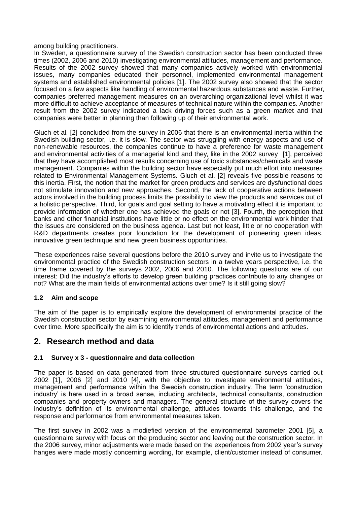among building practitioners.

In Sweden, a questionnaire survey of the Swedish construction sector has been conducted three times (2002, 2006 and 2010) investigating environmental attitudes, management and performance. Results of the 2002 survey showed that many companies actively worked with environmental issues, many companies educated their personnel, implemented environmental management systems and established environmental policies [1]. The 2002 survey also showed that the sector focused on a few aspects like handling of environmental hazardous substances and waste. Further, companies preferred management measures on an overarching organizational level whilst it was more difficult to achieve acceptance of measures of technical nature within the companies. Another result from the 2002 survey indicated a lack driving forces such as a green market and that companies were better in planning than following up of their environmental work.

Gluch et al. [2] concluded from the survey in 2006 that there is an environmental inertia within the Swedish building sector, i.e. it is slow. The sector was struggling with energy aspects and use of non-renewable resources, the companies continue to have a preference for waste management and environmental activities of a managerial kind and they, like in the 2002 survey [1], perceived that they have accomplished most results concerning use of toxic substances/chemicals and waste management. Companies within the building sector have especially put much effort into measures related to Environmental Management Systems. Gluch et al. [2] reveals five possible reasons to this inertia. First, the notion that the market for green products and services are dysfunctional does not stimulate innovation and new approaches. Second, the lack of cooperative actions between actors involved in the building process limits the possibility to view the products and services out of a holistic perspective. Third, for goals and goal setting to have a motivating effect it is important to provide information of whether one has achieved the goals or not [3]. Fourth, the perception that banks and other financial institutions have little or no effect on the environmental work hinder that the issues are considered on the business agenda. Last but not least, little or no cooperation with R&D departments creates poor foundation for the development of pioneering green ideas, innovative green technique and new green business opportunities.

These experiences raise several questions before the 2010 survey and invite us to investigate the environmental practice of the Swedish construction sectors in a twelve years perspective, i.e. the time frame covered by the surveys 2002, 2006 and 2010. The following questions are of our interest: Did the industry"s efforts to develop green building practices contribute to any changes or not? What are the main fields of environmental actions over time? Is it still going slow?

### **1.2 Aim and scope**

The aim of the paper is to empirically explore the development of environmental practice of the Swedish construction sector by examining environmental attitudes, management and performance over time. More specifically the aim is to identify trends of environmental actions and attitudes.

## **2. Research method and data**

### **2.1 Survey x 3 - questionnaire and data collection**

The paper is based on data generated from three structured questionnaire surveys carried out 2002 [1], 2006 [2] and 2010 [4], with the objective to investigate environmental attitudes, management and performance within the Swedish construction industry. The term "construction industry' is here used in a broad sense, including architects, technical consultants, construction companies and property owners and managers. The general structure of the survey covers the industry"s definition of its environmental challenge, attitudes towards this challenge, and the response and performance from environmental measures taken.

The first survey in 2002 was a modiefied version of the environmental barometer 2001 [5], a questionnaire survey with focus on the producing sector and leaving out the construction sector. In the 2006 survey, minor adjustments were made based on the experiences from 2002 year"s survey hanges were made mostly concerning wording, for example, client/customer instead of consumer.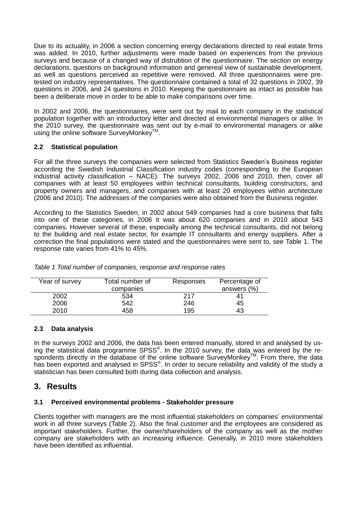Due to its actuality, in 2006 a section concerning energy declarations directed to real estate firms was added. In 2010, further adjustments were made based on experiences from the previous surveys and because of a changed way of distrubtion of the questionnaire. The section on energy declarations, questions on background information and genereal view of sustainable development, as well as questions perceived as repetitive were removed. All three questionnaires were pretested on industry representatives. The questionnaire contained a total of 32 questions in 2002, 39 questions in 2006, and 24 questions in 2010. Keeping the questionnaire as intact as possible has been a deliberate move in order to be able to make comparisons over time.

In 2002 and 2006, the questionnaires, were sent out by mail to each company in the statistical population together with an introductory letter and directed at environmental managers or alike. In the 2010 survey, the questionnaire was sent out by e-mail to environmental managers or alike using the online software SurveyMonkey™.

### **2.2 Statistical population**

For all the three surveys the companies were selected from Statistics Sweden"s Business register according the Swedish Industrial Classification industry codes (corresponding to the European industrial activity classification – NACE). The surveys 2002, 2006 and 2010, then, cover all companies with at least 50 employees within technical consultants, building constructors, and property owners and managers, and companies with at least 20 employees within architecture (2006 and 2010). The addresses of the companies were also obtained from the Business register.

According to the Statistics Sweden, in 2002 about 549 companies had a core business that falls into one of these categories, in 2006 it was about 620 companies and in 2010 about 543 companies. However several of these, especially among the technical consultants, did not belong to the building and real estate sector, for example IT consultants and energy suppliers. After a correction the final populations were stated and the questionnaires were sent to, see Table 1. The response rate varies from 41% to 45%.

| Year of survey | Total number of<br>companies | Responses | Percentage of<br>answers (%) |
|----------------|------------------------------|-----------|------------------------------|
| 2002           | 534                          | 217       |                              |
| 2006           | 542                          | 246       | 45                           |
| 2010           | 458                          | 195       | 43                           |

| Table 1 Total number of companies, response and response rates |  |  |
|----------------------------------------------------------------|--|--|

### **2.3 Data analysis**

In the surveys 2002 and 2006, the data has been entered manually, stored in and analysed by using the statistical data programme SPSS®. In the 2010 survey, the data was entered by the respondents directly in the database of the online software SurveyMonkey™. From there, the data has been exported and analysed in SPSS®. In order to secure reliability and validity of the study a statistician has been consulted both during data collection and analysis.

## **3. Results**

### **3.1 Perceived environmental problems - Stakeholder pressure**

Clients together with managers are the most influential stakeholders on companies" environmental work in all three surveys (Table 2). Also the final customer and the employees are considered as important stakeholders. Further, the owner/shareholders of the company as well as the mother company are stakeholders with an increasing influence. Generally, in 2010 more stakeholders have been identified as influential.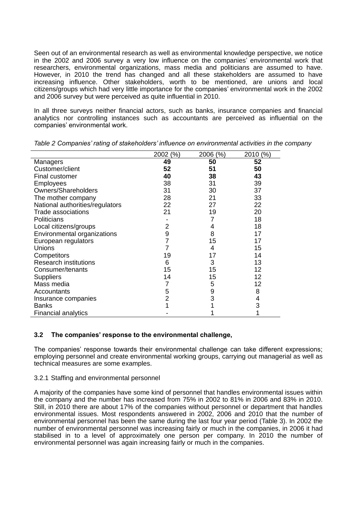Seen out of an environmental research as well as environmental knowledge perspective, we notice in the 2002 and 2006 survey a very low influence on the companies" environmental work that researchers, environmental organizations, mass media and politicians are assumed to have. However, in 2010 the trend has changed and all these stakeholders are assumed to have increasing influence. Other stakeholders, worth to be mentioned, are unions and local citizens/groups which had very little importance for the companies' environmental work in the 2002 and 2006 survey but were perceived as quite influential in 2010.

In all three surveys neither financial actors, such as banks, insurance companies and financial analytics nor controlling instances such as accountants are perceived as influential on the companies" environmental work.

|                                 | 2002 (%)       | (% )<br>2006 | 2010 (%) |
|---------------------------------|----------------|--------------|----------|
| Managers                        | 49             | 50           | 52       |
| Customer/client                 | 52             | 51           | 50       |
| <b>Final customer</b>           | 40             | 38           | 43       |
| Employees                       | 38             | 31           | 39       |
| Owners/Shareholders             | 31             | 30           | 37       |
| The mother company              | 28             | 21           | 33       |
| National authorities/regulators | 22             | 27           | 22       |
| Trade associations              | 21             | 19           | 20       |
| <b>Politicians</b>              |                |              | 18       |
| Local citizens/groups           | 2              | 4            | 18       |
| Environmental organizations     | 9              | 8            | 17       |
| European regulators             | 7              | 15           | 17       |
| Unions                          |                | 4            | 15       |
| Competitors                     | 19             | 17           | 14       |
| <b>Research institutions</b>    | 6              | 3            | 13       |
| Consumer/tenants                | 15             | 15           | 12       |
| <b>Suppliers</b>                | 14             | 15           | 12       |
| Mass media                      | 7              | 5            | 12       |
| Accountants                     | 5              | 9            | 8        |
| Insurance companies             | $\overline{2}$ | 3            | 4        |
| <b>Banks</b>                    |                |              | 3        |
| <b>Financial analytics</b>      |                |              |          |

*Table 2 Companies' rating of stakeholders' influence on environmental activities in the company* 

### **3.2 The companies' response to the environmental challenge,**

The companies" response towards their environmental challenge can take different expressions; employing personnel and create environmental working groups, carrying out managerial as well as technical measures are some examples.

#### 3.2.1 Staffing and environmental personnel

A majority of the companies have some kind of personnel that handles environmental issues within the company and the number has increased from 75% in 2002 to 81% in 2006 and 83% in 2010. Still, in 2010 there are about 17% of the companies without personnel or department that handles environmental issues. Most respondents answered in 2002, 2006 and 2010 that the number of environmental personnel has been the same during the last four year period (Table 3). In 2002 the number of environmental personnel was increasing fairly or much in the companies, in 2006 it had stabilised in to a level of approximately one person per company. In 2010 the number of environmental personnel was again increasing fairly or much in the companies.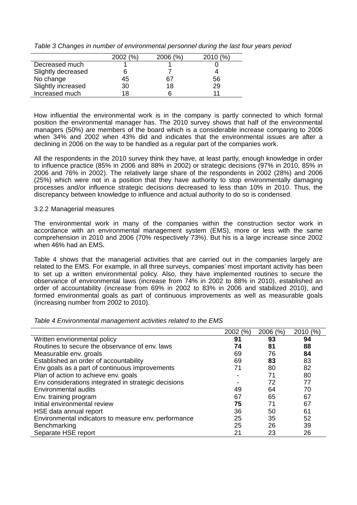*Table 3 Changes in number of environmental personnel during the last four years period*

|                    | (%)<br>2002 ( | 2006 (%) | 2010 |
|--------------------|---------------|----------|------|
| Decreased much     |               |          |      |
| Slightly decreased |               |          |      |
| No change          | 45            | 67       | 56   |
| Slightly increased | 30            | 18       | 29   |
| Increased much     | 18            |          |      |

How influential the environmental work is in the company is partly connected to which formal position the environmental manager has. The 2010 survey shows that half of the environmental managers (50%) are members of the board which is a considerable increase comparing to 2006 when 34% and 2002 when 43% did and indicates that the environmental issues are after a declining in 2006 on the way to be handled as a regular part of the companies work.

All the respondents in the 2010 survey think they have, at least partly, enough knowledge in order to influence practice (85% in 2006 and 88% in 2002) or strategic decisions (97% in 2010, 85% in 2006 and 76% in 2002). The relatively large share of the respondents in 2002 (28%) and 2006 (25%) which were not in a position that they have authority to stop environmentally damaging processes and/or influence strategic decisions decreased to less than 10% in 2010. Thus, the discrepancy between knowledge to influence and actual authority to do so is condensed.

#### 3.2.2 Managerial measures

The environmental work in many of the companies within the construction sector work in accordance with an environmental management system (EMS), more or less with the same comprehension in 2010 and 2006 (70% respectively 73%). But his is a large increase since 2002 when 46% had an EMS.

Table 4 shows that the managerial activities that are carried out in the companies largely are related to the EMS. For example, in all three surveys, companies' most important activity has been to set up a written environmental policy. Also, they have implemented routines to secure the observance of environmental laws (increase from 74% in 2002 to 88% in 2010), established an order of accountability (increase from 69% in 2002 to 83% in 2006 and stabilized 2010), and formed environmental goals as part of continuous improvements as well as measurable goals (increasing number from 2002 to 2010).

| Table 4 Environmental management activities related to the EMS |  |
|----------------------------------------------------------------|--|
|                                                                |  |

|                                                      | 2002 (%) | 2006(%) | 2010 (%) |
|------------------------------------------------------|----------|---------|----------|
| Written envrionmental policy                         | 91       | 93      | 94       |
| Routines to secure the observance of env. laws       | 74       | 81      | 88       |
| Measurable env. groals                               | 69       | 76      | 84       |
| Established an order of accountability               | 69       | 83      | 83       |
| Env goals as a part of continuous improvements       | 71       | 80      | 82       |
| Plan of action to achieve env. goals                 |          | 71      | 80       |
| Env considerations integrated in strategic decisions |          | 72      | 77       |
| <b>Environmental audits</b>                          | 49       | 64      | 70       |
| Env. training program                                | 67       | 65      | 67       |
| Initial environmental review                         | 75       | 71      | 67       |
| HSE data annual report                               | 36       | 50      | 61       |
| Environmental indicators to measure env. performance | 25       | 35      | 52       |
| Benchmarking                                         | 25       | 26      | 39       |
| Separate HSE report                                  | 21       | 23      | 26       |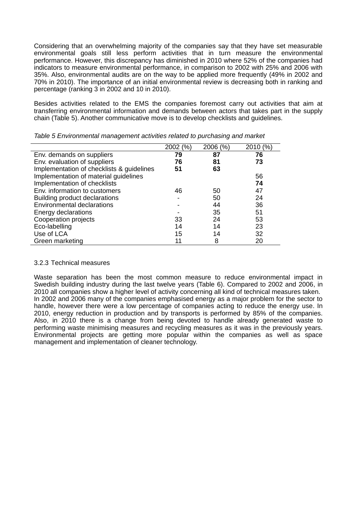Considering that an overwhelming majority of the companies say that they have set measurable environmental goals still less perform activities that in turn measure the environmental performance. However, this discrepancy has diminished in 2010 where 52% of the companies had indicators to measure environmental performance, in comparison to 2002 with 25% and 2006 with 35%. Also, environmental audits are on the way to be applied more frequently (49% in 2002 and 70% in 2010). The importance of an initial environmental review is decreasing both in ranking and percentage (ranking 3 in 2002 and 10 in 2010).

Besides activities related to the EMS the companies foremost carry out activities that aim at transferring environmental information and demands between actors that takes part in the supply chain (Table 5). Another communicative move is to develop checklists and guidelines.

|                                           | 2002 (%) | 2006 (%) | 2010 (%) |
|-------------------------------------------|----------|----------|----------|
| Env. demands on suppliers                 | 79       | 87       | 76       |
| Env. evaluation of suppliers              | 76       | 81       | 73       |
| Implementation of checklists & guidelines | 51       | 63       |          |
| Implementation of material guidelines     |          |          | 56       |
| Implementation of checklists              |          |          | 74       |
| Env. information to customers             | 46       | 50       | 47       |
| Building product declarations             |          | 50       | 24       |
| <b>Environmental declarations</b>         |          | 44       | 36       |
| Energy declarations                       |          | 35       | 51       |
| Cooperation projects                      | 33       | 24       | 53       |
| Eco-labelling                             | 14       | 14       | 23       |
| Use of LCA                                | 15       | 14       | 32       |
| Green marketing                           |          | 8        | 20       |

*Table 5 Environmental management activities related to purchasing and market*

#### 3.2.3 Technical measures

Waste separation has been the most common measure to reduce environmental impact in Swedish building industry during the last twelve years (Table 6). Compared to 2002 and 2006, in 2010 all companies show a higher level of activity concerning all kind of technical measures taken. In 2002 and 2006 many of the companies emphasised energy as a major problem for the sector to handle, however there were a low percentage of companies acting to reduce the energy use. In 2010, energy reduction in production and by transports is performed by 85% of the companies. Also, in 2010 there is a change from being devoted to handle already generated waste to performing waste minimising measures and recycling measures as it was in the previously years. Environmental projects are getting more popular within the companies as well as space management and implementation of cleaner technology.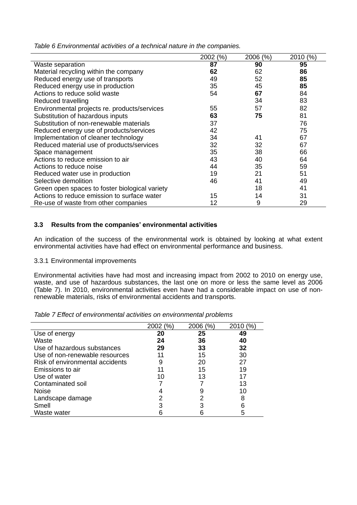*Table 6 Environmental activities of a technical nature in the companies.*

|                                                | 2002 (%) | 2006 (%) | 2010 (%) |
|------------------------------------------------|----------|----------|----------|
| Waste separation                               | 87       | 90       | 95       |
| Material recycling within the company          | 62       | 62       | 86       |
| Reduced energy use of transports               | 49       | 52       | 85       |
| Reduced energy use in production               | 35       | 45       | 85       |
| Actions to reduce solid waste                  | 54       | 67       | 84       |
| Reduced travelling                             |          | 34       | 83       |
| Environmental projects re. products/services   | 55       | 57       | 82       |
| Substitution of hazardous inputs               | 63       | 75       | 81       |
| Substitution of non-renewable materials        | 37       |          | 76       |
| Reduced energy use of products/services        | 42       |          | 75       |
| Implementation of cleaner technology           | 34       | 41       | 67       |
| Reduced material use of products/services      | 32       | 32       | 67       |
| Space management                               | 35       | 38       | 66       |
| Actions to reduce emission to air              | 43       | 40       | 64       |
| Actions to reduce noise                        | 44       | 35       | 59       |
| Reduced water use in production                | 19       | 21       | 51       |
| Selective demolition                           | 46       | 41       | 49       |
| Green open spaces to foster biological variety |          | 18       | 41       |
| Actions to reduce emission to surface water    | 15       | 14       | 31       |
| Re-use of waste from other companies           | 12       | 9        | 29       |

### **3.3 Results from the companies' environmental activities**

An indication of the success of the environmental work is obtained by looking at what extent environmental activities have had effect on environmental performance and business.

#### 3.3.1 Environmental improvements

Environmental activities have had most and increasing impact from 2002 to 2010 on energy use, waste, and use of hazardous substances, the last one on more or less the same level as 2006 (Table 7). In 2010, environmental activities even have had a considerable impact on use of nonrenewable materials, risks of environmental accidents and transports.

| Table 7 Effect of environmental activities on environmental problems |  |
|----------------------------------------------------------------------|--|
|                                                                      |  |

|                                 | 2002 (%) | 2006 (%) | (% )<br>2010 |
|---------------------------------|----------|----------|--------------|
| Use of energy                   | 20       | 25       | 49           |
| Waste                           | 24       | 36       | 40           |
| Use of hazardous substances     | 29       | 33       | 32           |
| Use of non-renewable resources  |          | 15       | 30           |
| Risk of environmental accidents | 9        | 20       | 27           |
| Emissions to air                |          | 15       | 19           |
| Use of water                    | 10       | 13       | 17           |
| Contaminated soil               |          |          | 13           |
| <b>Noise</b>                    |          | 9        | 10           |
| Landscape damage                |          | າ        | 8            |
| Smell                           | З        |          | 6            |
| Waste water                     |          |          | 5            |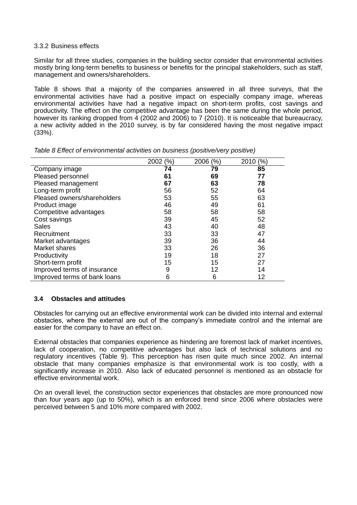#### 3.3.2 Business effects

Similar for all three studies, companies in the building sector consider that environmental activities mostly bring long-term benefits to business or benefits for the principal stakeholders, such as staff, management and owners/shareholders.

Table 8 shows that a majority of the companies answered in all three surveys, that the environmental activities have had a positive impact on especially company image, whereas environmental activities have had a negative impact on short-term profits, cost savings and productivity. The effect on the competitive advantage has been the same during the whole period, however its ranking dropped from 4 (2002 and 2006) to 7 (2010). It is noticeable that bureaucracy, a new activity added in the 2010 survey, is by far considered having the most negative impact (33%).

|                              | 2002 (%) | 2006 (%) | 2010 (%) |
|------------------------------|----------|----------|----------|
| Company image                | 74       | 79       | 85       |
| Pleased personnel            | 61       | 69       | 77       |
| Pleased management           | 67       | 63       | 78       |
| Long-term profit             | 56       | 52       | 64       |
| Pleased owners/shareholders  | 53       | 55       | 63       |
| Product image                | 46       | 49       | 61       |
| Competitive advantages       | 58       | 58       | 58       |
| Cost savings                 | 39       | 45       | 52       |
| <b>Sales</b>                 | 43       | 40       | 48       |
| Recruitment                  | 33       | 33       | 47       |
| Market advantages            | 39       | 36       | 44       |
| Market shares                | 33       | 26       | 36       |
| Productivity                 | 19       | 18       | 27       |
| Short-term profit            | 15       | 15       | 27       |
| Improved terms of insurance  | 9        | 12       | 14       |
| Improved terms of bank loans | 6        | 6        | 12       |

*Table 8 Effect of environmental activities on business (positive/very positive)*

### **3.4 Obstacles and attitudes**

Obstacles for carrying out an effective environmental work can be divided into internal and external obstacles, where the external are out of the company"s immediate control and the internal are easier for the company to have an effect on.

External obstacles that companies experience as hindering are foremost lack of market incentives, lack of cooperation, no competitive advantages but also lack of technical solutions and no regulatory incentives (Table 9). This perception has risen quite much since 2002. An internal obstacle that many companies emphasize is that environmental work is too costly, with a significantly increase in 2010. Also lack of educated personnel is mentioned as an obstacle for effective environmental work.

On an overall level, the construction sector experiences that obstacles are more pronounced now than four years ago (up to 50%), which is an enforced trend since 2006 where obstacles were perceived between 5 and 10% more compared with 2002.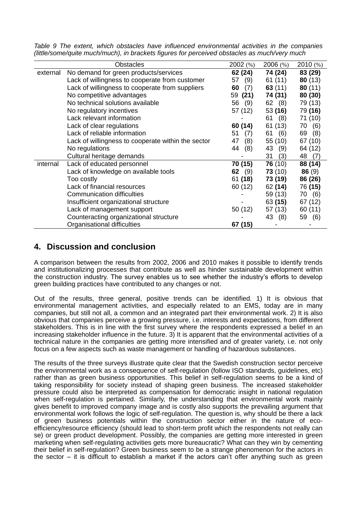|  |  |  |  | Table 9 The extent, which obstacles have influenced environmental activities in the companies |  |  |
|--|--|--|--|-----------------------------------------------------------------------------------------------|--|--|
|  |  |  |  | (little/some/quite much/much), in brackets figures for perceived obstacles as much/very much  |  |  |

|          | <b>Obstacles</b>                                   | 2002 (%)   | $2006$ $(\%)$ | 2010(%)   |
|----------|----------------------------------------------------|------------|---------------|-----------|
| external | No demand for green products/services              | 62 (24)    | 74 (24)       | 83 (29)   |
|          | Lack of willingness to cooperate from customer     | (9)<br>57  | 61 (11)       | 80(13)    |
|          | Lack of willingness to cooperate from suppliers    | (7)<br>60  | 63(11)        | 80(11)    |
|          | No competitive advantages                          | (21)<br>59 | 74 (31)       | 80 (30)   |
|          | No technical solutions available                   | 56<br>(9)  | 62 (8)        | 79 (13)   |
|          | No regulatory incentives                           | 57 (12)    | 53(16)        | 79 (16)   |
|          | Lack relevant information                          |            | (8)<br>61     | 71 (10)   |
|          | Lack of clear regulations                          | 60 (14)    | 61 (13)       | 70<br>(6) |
|          | Lack of reliable information                       | 51<br>(7)  | (6)<br>61     | 69<br>(8) |
|          | Lack of willingness to cooperate within the sector | (8)<br>47  | 55 (10)       | 67 (10)   |
|          | No regulations                                     | 44<br>(8)  | 43<br>(9)     | 64 (12)   |
|          | Cultural heritage demands                          |            | (3)<br>31     | 48<br>(7) |
| internal | Lack of educated personnel                         | 70 (15)    | 76(10)        | 88 (14)   |
|          | Lack of knowledge on available tools               | (9)<br>62  | 73(10)        | 86(9)     |
|          | Too costly                                         | 61 (18)    | 73 (19)       | 86 (26)   |
|          | Lack of financial resources                        | 60 (12)    | 62 (14)       | 76 (15)   |
|          | <b>Communication difficulties</b>                  |            | 59 (13)       | 70<br>(6) |
|          | Insufficient organizational structure              |            | 63 (15)       | 67 (12)   |
|          | Lack of management support                         | 50 (12)    | 57 (13)       | 60 (11)   |
|          | Counteracting organizational structure             |            | 43<br>(8)     | 59 (6)    |
|          | Organisational difficulties                        | 67 (15)    |               |           |

## **4. Discussion and conclusion**

A comparison between the results from 2002, 2006 and 2010 makes it possible to identify trends and institutionalizing processes that contribute as well as hinder sustainable development within the construction industry. The survey enables us to see whether the industry"s efforts to develop green building practices have contributed to any changes or not.

Out of the results, three general, positive trends can be identified. 1) It is obvious that environmental management activities, and especially related to an EMS, today are in many companies, but still not all, a common and an integrated part their environmental work. 2) It is also obvious that companies perceive a growing pressure, i.e. interests and expectations, from different stakeholders. This is in line with the first survey where the respondents expressed a belief in an increasing stakeholder influence in the future. 3) It is apparent that the environmental activities of a technical nature in the companies are getting more intensified and of greater variety, i.e. not only focus on a few aspects such as waste management or handling of hazardous substances.

The results of the three surveys illustrate quite clear that the Swedish construction sector perceive the environmental work as a consequence of self-regulation (follow ISO standards, guidelines, etc) rather than as green business opportunities. This belief in self-regulation seems to be a kind of taking responsibility for society instead of shaping green business. The increased stakeholder pressure could also be interpreted as compensation for democratic insight in national regulation when self-regulation is pertained. Similarly, the understanding that environmental work mainly gives benefit to improved company image and is costly also supports the prevailing argument that environmental work follows the logic of self-regulation. The question is, why should be there a lack of green business potentials within the construction sector either in the nature of ecoefficiency/resource efficiency (should lead to short-term profit which the respondents not really can se) or green product development. Possibly, the companies are getting more interested in green marketing when self-regulating activities gets more bureaucratic? What can they win by cementing their belief in self-regulation? Green business seem to be a strange phenomenon for the actors in the sector – it is difficult to establish a market if the actors can"t offer anything such as green